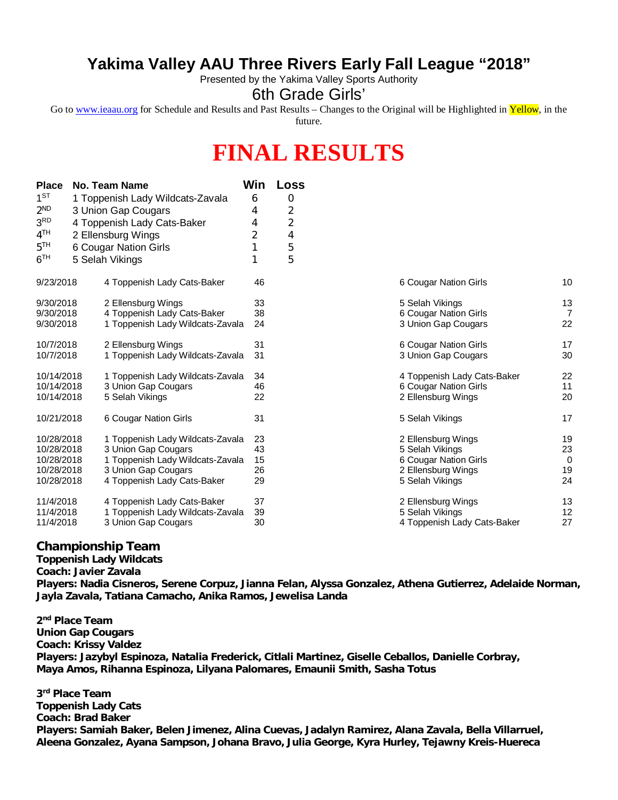## **Yakima Valley AAU Three Rivers Early Fall League "2018"**

Presented by the Yakima Valley Sports Authority

6th Grade Girls'

Go to [www.ieaau.org](http://www.ieaau.org) for Schedule and Results and Past Results – Changes to the Original will be Highlighted in Yellow, in the future.

## **FINAL RESULTS**

| <b>Place</b>    | No. Team Name                    | Win | <b>Loss</b>    |                             |
|-----------------|----------------------------------|-----|----------------|-----------------------------|
| $1^{ST}$        | 1 Toppenish Lady Wildcats-Zavala | 6   | 0              |                             |
| 2 <sup>ND</sup> | 3 Union Gap Cougars              | 4   | 2              |                             |
| 3 <sup>RD</sup> | 4 Toppenish Lady Cats-Baker      | 4   | $\overline{2}$ |                             |
| 4 <sup>TH</sup> | 2 Ellensburg Wings               | 2   | 4              |                             |
| 5 <sup>TH</sup> | 6 Cougar Nation Girls            |     | 5              |                             |
| 6 <sup>TH</sup> | 5 Selah Vikings                  |     | 5              |                             |
| 9/23/2018       | 4 Toppenish Lady Cats-Baker      | 46  |                | 6 Cougar Nation Girls       |
| 9/30/2018       | 2 Ellensburg Wings               | 33  |                | 5 Selah Vikings             |
| 9/30/2018       | 4 Toppenish Lady Cats-Baker      | 38  |                | 6 Cougar Nation Girls       |
| 9/30/2018       | 1 Toppenish Lady Wildcats-Zavala | 24  |                | 3 Union Gap Cougars         |
| 10/7/2018       | 2 Ellensburg Wings               | 31  |                | 6 Cougar Nation Girls       |
| 10/7/2018       | 1 Toppenish Lady Wildcats-Zavala | 31  |                | 3 Union Gap Cougars         |
| 10/14/2018      | 1 Toppenish Lady Wildcats-Zavala | 34  |                | 4 Toppenish Lady Cats-Baker |
| 10/14/2018      | 3 Union Gap Cougars              | 46  |                | 6 Cougar Nation Girls       |
| 10/14/2018      | 5 Selah Vikings                  | 22  |                | 2 Ellensburg Wings          |
| 10/21/2018      | 6 Cougar Nation Girls            | 31  |                | 5 Selah Vikings             |
| 10/28/2018      | 1 Toppenish Lady Wildcats-Zavala | 23  |                | 2 Ellensburg Wings          |
| 10/28/2018      | 3 Union Gap Cougars              | 43  |                | 5 Selah Vikings             |
| 10/28/2018      | 1 Toppenish Lady Wildcats-Zavala | 15  |                | 6 Cougar Nation Girls       |
| 10/28/2018      | 3 Union Gap Cougars              | 26  |                | 2 Ellensburg Wings          |
| 10/28/2018      | 4 Toppenish Lady Cats-Baker      | 29  |                | 5 Selah Vikings             |
| 11/4/2018       | 4 Toppenish Lady Cats-Baker      | 37  |                | 2 Ellensburg Wings          |
| 11/4/2018       | 1 Toppenish Lady Wildcats-Zavala | 39  |                | 5 Selah Vikings             |
| 11/4/2018       | 3 Union Gap Cougars              | 30  |                | 4 Toppenish Lady Cats-Baker |

| 6 Cougar Nation Girls       | 10       |
|-----------------------------|----------|
| 5 Selah Vikings             | 13       |
| 6 Cougar Nation Girls       | 7        |
| 3 Union Gap Cougars         | 22       |
| 6 Cougar Nation Girls       | 17       |
| 3 Union Gap Cougars         | 30       |
| 4 Toppenish Lady Cats-Baker | 22       |
| 6 Cougar Nation Girls       | 11       |
| 2 Ellensburg Wings          | 20       |
| 5 Selah Vikings             | 17       |
| 2 Ellensburg Wings          | 19       |
| 5 Selah Vikings             | 23       |
| 6 Cougar Nation Girls       | $\Omega$ |
| 2 Ellensburg Wings          | 19       |
| 5 Selah Vikings             | 24       |
| 2 Ellensburg Wings          | 13       |
| 5 Selah Vikings             | 12       |
| 4 Toppenish Lady Cats-Baker | 27       |

## **Championship Team**

**Toppenish Lady Wildcats**

**Coach: Javier Zavala**

**Players: Nadia Cisneros, Serene Corpuz, Jianna Felan, Alyssa Gonzalez, Athena Gutierrez, Adelaide Norman, Jayla Zavala, Tatiana Camacho, Anika Ramos, Jewelisa Landa**

**2 nd Place Team Union Gap Cougars Coach: Krissy Valdez Players: Jazybyl Espinoza, Natalia Frederick, Citlali Martinez, Giselle Ceballos, Danielle Corbray, Maya Amos, Rihanna Espinoza, Lilyana Palomares, Emaunii Smith, Sasha Totus**

**3 rd Place Team Toppenish Lady Cats Coach: Brad Baker Players: Samiah Baker, Belen Jimenez, Alina Cuevas, Jadalyn Ramirez, Alana Zavala, Bella Villarruel, Aleena Gonzalez, Ayana Sampson, Johana Bravo, Julia George, Kyra Hurley, Tejawny Kreis-Huereca**